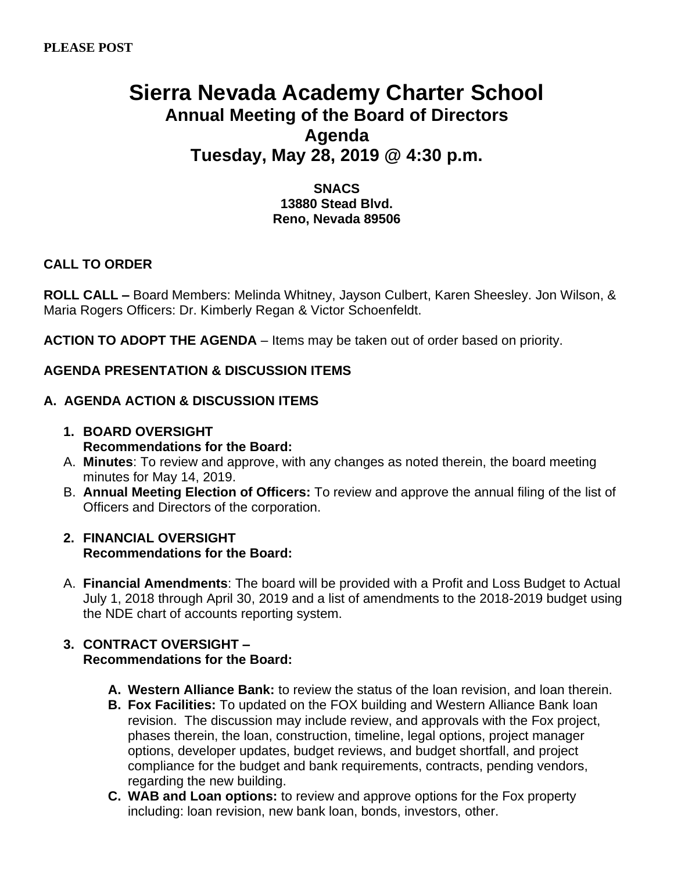# **Sierra Nevada Academy Charter School Annual Meeting of the Board of Directors Agenda Tuesday, May 28, 2019 @ 4:30 p.m.**

## **SNACS 13880 Stead Blvd. Reno, Nevada 89506**

# **CALL TO ORDER**

**ROLL CALL –** Board Members: Melinda Whitney, Jayson Culbert, Karen Sheesley. Jon Wilson, & Maria Rogers Officers: Dr. Kimberly Regan & Victor Schoenfeldt.

**ACTION TO ADOPT THE AGENDA** – Items may be taken out of order based on priority.

# **AGENDA PRESENTATION & DISCUSSION ITEMS**

## **A. AGENDA ACTION & DISCUSSION ITEMS**

- **1. BOARD OVERSIGHT Recommendations for the Board:**
- A. **Minutes**: To review and approve, with any changes as noted therein, the board meeting minutes for May 14, 2019.
- B. **Annual Meeting Election of Officers:** To review and approve the annual filing of the list of Officers and Directors of the corporation.

#### **2. FINANCIAL OVERSIGHT Recommendations for the Board:**

A. **Financial Amendments**: The board will be provided with a Profit and Loss Budget to Actual July 1, 2018 through April 30, 2019 and a list of amendments to the 2018-2019 budget using the NDE chart of accounts reporting system.

## **3. CONTRACT OVERSIGHT – Recommendations for the Board:**

- **A. Western Alliance Bank:** to review the status of the loan revision, and loan therein.
- **B. Fox Facilities:** To updated on the FOX building and Western Alliance Bank loan revision. The discussion may include review, and approvals with the Fox project, phases therein, the loan, construction, timeline, legal options, project manager options, developer updates, budget reviews, and budget shortfall, and project compliance for the budget and bank requirements, contracts, pending vendors, regarding the new building.
- **C. WAB and Loan options:** to review and approve options for the Fox property including: loan revision, new bank loan, bonds, investors, other.